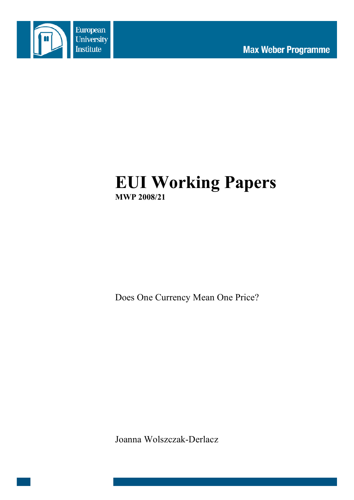

# **EUI Working Papers MWP 2008/21**

Does One Currency Mean One Price?

Joanna Wolszczak-Derlacz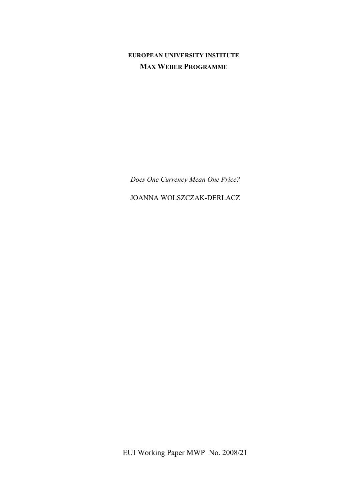# **EUROPEAN UNIVERSITY INSTITUTE MAX WEBER PROGRAMME**

*Does One Currency Mean One Price?*

JOANNA WOLSZCZAK-DERLACZ

EUI Working Paper MWP No. 2008/21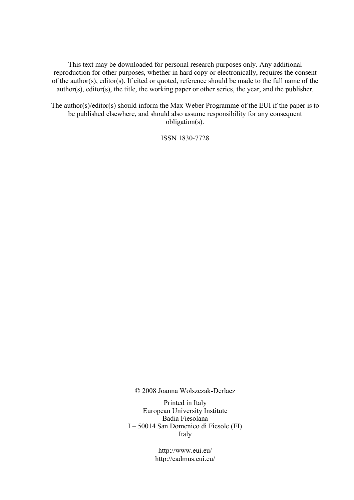This text may be downloaded for personal research purposes only. Any additional reproduction for other purposes, whether in hard copy or electronically, requires the consent of the author(s), editor(s). If cited or quoted, reference should be made to the full name of the author(s), editor(s), the title, the working paper or other series, the year, and the publisher.

The author(s)/editor(s) should inform the Max Weber Programme of the EUI if the paper is to be published elsewhere, and should also assume responsibility for any consequent obligation(s).

ISSN 1830-7728

© 2008 Joanna Wolszczak-Derlacz

Printed in Italy European University Institute Badia Fiesolana I – 50014 San Domenico di Fiesole (FI) Italy

> http://www.eui.eu/ http://cadmus.eui.eu/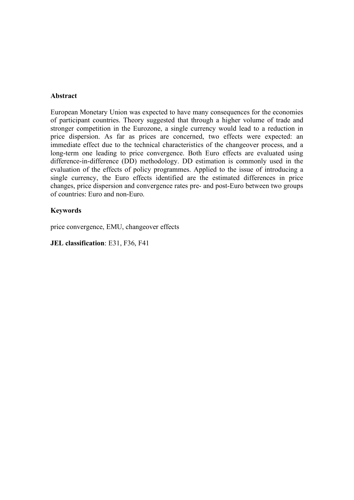# **Abstract**

European Monetary Union was expected to have many consequences for the economies of participant countries. Theory suggested that through a higher volume of trade and stronger competition in the Eurozone, a single currency would lead to a reduction in price dispersion. As far as prices are concerned, two effects were expected: an immediate effect due to the technical characteristics of the changeover process, and a long-term one leading to price convergence. Both Euro effects are evaluated using difference-in-difference (DD) methodology. DD estimation is commonly used in the evaluation of the effects of policy programmes. Applied to the issue of introducing a single currency, the Euro effects identified are the estimated differences in price changes, price dispersion and convergence rates pre- and post-Euro between two groups of countries: Euro and non-Euro.

# **Keywords**

price convergence, EMU, changeover effects

**JEL classification**: E31, F36, F41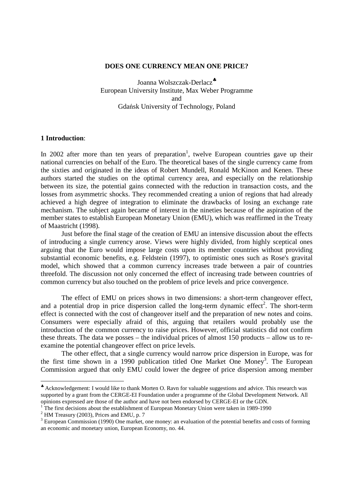#### **DOES ONE CURRENCY MEAN ONE PRICE?**

Joanna Wolszczak-Derlacz<sup>\*</sup> European University Institute, Max Weber Programme and Gdańsk University of Technology, Poland

#### **1 Introduction**:

In 2002 after more than ten years of preparation<sup>1</sup>, twelve European countries gave up their national currencies on behalf of the Euro. The theoretical bases of the single currency came from the sixties and originated in the ideas of Robert Mundell, Ronald McKinon and Kenen. These authors started the studies on the optimal currency area, and especially on the relationship between its size, the potential gains connected with the reduction in transaction costs, and the losses from asymmetric shocks. They recommended creating a union of regions that had already achieved a high degree of integration to eliminate the drawbacks of losing an exchange rate mechanism. The subject again became of interest in the nineties because of the aspiration of the member states to establish European Monetary Union (EMU), which was reaffirmed in the Treaty of Maastricht (1998).

Just before the final stage of the creation of EMU an intensive discussion about the effects of introducing a single currency arose. Views were highly divided, from highly sceptical ones arguing that the Euro would impose large costs upon its member countries without providing substantial economic benefits, e.g. Feldstein (1997), to optimistic ones such as Rose's gravital model, which showed that a common currency increases trade between a pair of countries threefold. The discussion not only concerned the effect of increasing trade between countries of common currency but also touched on the problem of price levels and price convergence.

The effect of EMU on prices shows in two dimensions: a short-term changeover effect, and a potential drop in price dispersion called the long-term dynamic effect<sup>2</sup>. The short-term effect is connected with the cost of changeover itself and the preparation of new notes and coins. Consumers were especially afraid of this, arguing that retailers would probably use the introduction of the common currency to raise prices. However, official statistics did not confirm these threats. The data we posses – the individual prices of almost 150 products – allow us to reexamine the potential changeover effect on price levels.

The other effect, that a single currency would narrow price dispersion in Europe, was for the first time shown in a 1990 publication titled One Market One Money<sup>3</sup>. The European Commission argued that only EMU could lower the degree of price dispersion among member

<sup>♣</sup> Acknowledgement: I would like to thank Morten O. Ravn for valuable suggestions and advice. This research was supported by a grant from the CERGE-EI Foundation under a programme of the Global Development Network. All opinions expressed are those of the author and have not been endorsed by CERGE-EI or the GDN.

<sup>1</sup> The first decisions about the establishment of European Monetary Union were taken in 1989-1990

 $2$  HM Treasury (2003), Prices and EMU, p. 7

 $3$  European Commission (1990) One market, one money: an evaluation of the potential benefits and costs of forming an economic and monetary union, European Economy, no. 44.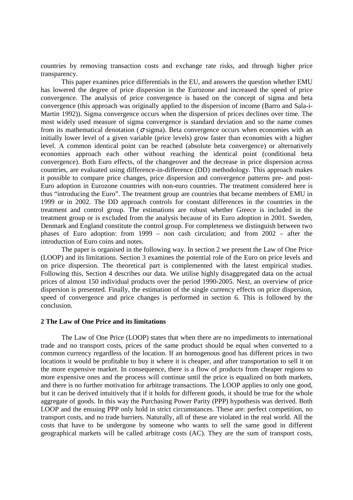countries by removing transaction costs and exchange rate risks, and through higher price transparency.

This paper examines price differentials in the EU, and answers the question whether EMU has lowered the degree of price dispersion in the Eurozone and increased the speed of price convergence. The analysis of price convergence is based on the concept of sigma and beta convergence (this approach was originally applied to the dispersion of income (Barro and Sala-i-Martin 1992)). Sigma convergence occurs when the dispersion of prices declines over time. The most widely used measure of sigma convergence is standard deviation and so the name comes from its mathematical denotation ( $\sigma$  sigma). Beta convergence occurs when economies with an initially lower level of a given variable (price levels) grow faster than economies with a higher level. A common identical point can be reached (absolute beta convergence) or alternatively economies approach each other without reaching the identical point (conditional beta convergence). Both Euro effects, of the changeover and the decrease in price dispersion across countries, are evaluated using difference-in-difference (DD) methodology. This approach makes it possible to compare price changes, price dispersion and convergence patterns pre- and post-Euro adoption in Eurozone countries with non-euro countries. The treatment considered here is thus "introducing the Euro". The treatment group are countries that became members of EMU in 1999 or in 2002. The DD approach controls for constant differences in the countries in the treatment and control group. The estimations are robust whether Greece is included in the treatment group or is excluded from the analysis because of its Euro adoption in 2001. Sweden, Denmark and England constitute the control group. For completeness we distinguish between two phases of Euro adoption: from 1999 – non cash circulation; and from 2002 – after the introduction of Euro coins and notes.

The paper is organised in the following way. In section 2 we present the Law of One Price (LOOP) and its limitations. Section 3 examines the potential role of the Euro on price levels and on price dispersion. The theoretical part is complemented with the latest empirical studies. Following this, Section 4 describes our data. We utilise highly disaggregated data on the actual prices of almost 150 individual products over the period 1990-2005. Next, an overview of price dispersion is presented. Finally, the estimation of the single currency effects on price dispersion, speed of convergence and price changes is performed in section 6. This is followed by the conclusion.

#### **2 The Law of One Price and its limitations**

The Law of One Price (LOOP) states that when there are no impediments to international trade and no transport costs, prices of the same product should be equal when converted to a common currency regardless of the location. If an homogenous good has different prices in two locations it would be profitable to buy it where it is cheaper, and after transportation to sell it on the more expensive market. In consequence, there is a flow of products from cheaper regions to more expensive ones and the process will continue until the price is equalized on both markets, and there is no further motivation for arbitrage transactions. The LOOP applies to only one good, but it can be derived intuitively that if it holds for different goods, it should be true for the whole aggregate of goods. In this way the Purchasing Power Parity (PPP) hypothesis was derived. Both LOOP and the ensuing PPP only hold in strict circumstances. These are: perfect competition, no transport costs, and no trade barriers. Naturally, all of these are violated in the real world. All the costs that have to be undergone by someone who wants to sell the same good in different geographical markets will be called arbitrage costs (AC). They are the sum of transport costs,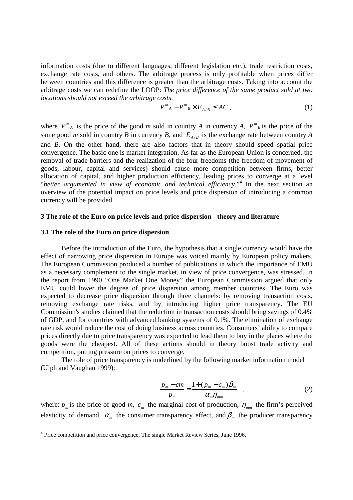information costs (due to different languages, different legislation etc.), trade restriction costs, exchange rate costs, and others. The arbitrage process is only profitable when prices differ between countries and this difference is greater than the arbitrage costs. Taking into account the arbitrage costs we can redefine the LOOP: *The price difference of the same product sold at two locations should not exceed the arbitrage costs*.

$$
P^m{}_A - P^m{}_B \times E_{A/B} \le AC \,,\tag{1}
$$

where  $P^{m}{}_{A}$  is the price of the good *m* sold in country *A* in currency *A*,  $P^{m}{}_{B}$  is the price of the same good *m* sold in country *B* in currency *B*, and  $E_{A/B}$  is the exchange rate between country *A* and *B*. On the other hand, there are also factors that in theory should speed spatial price convergence. The basic one is market integration. As far as the European Union is concerned, the removal of trade barriers and the realization of the four freedoms (the freedom of movement of goods, labour, capital and services) should cause more competition between firms, better allocation of capital, and higher production efficiency, leading prices to converge at a level "*better argumented in view of economic and technical efficiency*."<sup>4</sup> In the next section an overview of the potential impact on price levels and price dispersion of introducing a common currency will be provided.

#### **3 The role of the Euro on price levels and price dispersion - theory and literature**

#### **3.1 The role of the Euro on price dispersion**

Before the introduction of the Euro, the hypothesis that a single currency would have the effect of narrowing price dispersion in Europe was voiced mainly by European policy makers. The European Commission produced a number of publications in which the importance of EMU as a necessary complement to the single market, in view of price convergence, was stressed. In the report from 1990 "One Market One Money" the European Commission argued that only EMU could lower the degree of price dispersion among member countries. The Euro was expected to decrease price dispersion through three channels: by removing transaction costs, removing exchange rate risks, and by introducing higher price transparency. The EU Commission's studies claimed that the reduction in transaction costs should bring savings of 0.4% of GDP, and for countries with advanced banking systems of 0.1%. The elimination of exchange rate risk would reduce the cost of doing business across countries. Consumers' ability to compare prices directly due to price transparency was expected to lead them to buy in the places where the goods were the cheapest. All of these actions should in theory boost trade activity and competition, putting pressure on prices to converge.

The role of price transparency is underlined by the following market information model (Ulph and Vaughan 1999):

$$
\frac{p_m - cm}{p_m} = \frac{1 + (p_m - c_m)\beta_m}{\alpha_m \eta_{mm}} \quad , \tag{2}
$$

where:  $p_m$  is the price of good *m*,  $c_m$  the marginal cost of production,  $\eta_{mn}$  the firm's perceived elasticity of demand,  $\alpha_m$  the consumer transparency effect, and  $\beta_m$  the producer transparency

 4 Price competition and price convergence, The single Market Review Series, June 1996.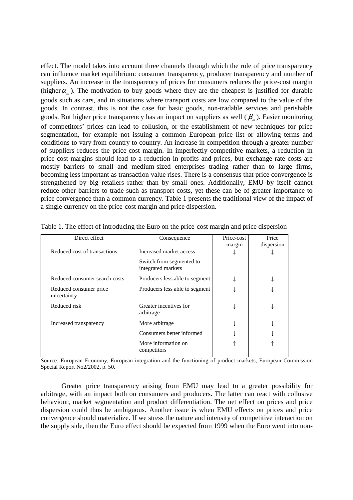effect. The model takes into account three channels through which the role of price transparency can influence market equilibrium: consumer transparency, producer transparency and number of suppliers. An increase in the transparency of prices for consumers reduces the price-cost margin (higher  $\alpha_m$ ). The motivation to buy goods where they are the cheapest is justified for durable goods such as cars, and in situations where transport costs are low compared to the value of the goods. In contrast, this is not the case for basic goods, non-tradable services and perishable goods. But higher price transparency has an impact on suppliers as well  $(\beta_m)$ . Easier monitoring of competitors' prices can lead to collusion, or the establishment of new techniques for price segmentation, for example not issuing a common European price list or allowing terms and conditions to vary from country to country. An increase in competition through a greater number of suppliers reduces the price-cost margin. In imperfectly competitive markets, a reduction in price-cost margins should lead to a reduction in profits and prices, but exchange rate costs are mostly barriers to small and medium-sized enterprises trading rather than to large firms, becoming less important as transaction value rises. There is a consensus that price convergence is strengthened by big retailers rather than by small ones. Additionally, EMU by itself cannot reduce other barriers to trade such as transport costs, yet these can be of greater importance to price convergence than a common currency. Table 1 presents the traditional view of the impact of a single currency on the price-cost margin and price dispersion.

| Direct effect                         | Consequence                                    | Price-cost<br>margin | Price<br>dispersion |
|---------------------------------------|------------------------------------------------|----------------------|---------------------|
| Reduced cost of transactions          | Increased market access                        |                      |                     |
|                                       | Switch from segmented to<br>integrated markets |                      |                     |
| Reduced consumer search costs         | Producers less able to segment                 |                      |                     |
| Reduced consumer price<br>uncertainty | Producers less able to segment                 |                      |                     |
| Reduced risk                          | Greater incentives for<br>arbitrage            |                      |                     |
| Increased transparency                | More arbitrage                                 |                      |                     |
|                                       | Consumers better informed                      |                      |                     |
|                                       | More information on<br>competitors             |                      |                     |

Table 1. The effect of introducing the Euro on the price-cost margin and price dispersion

Source: European Economy; European integration and the functioning of product markets, European Commission Special Report No2/2002, p. 50*.* 

Greater price transparency arising from EMU may lead to a greater possibility for arbitrage, with an impact both on consumers and producers. The latter can react with collusive behaviour, market segmentation and product differentiation. The net effect on prices and price dispersion could thus be ambiguous. Another issue is when EMU effects on prices and price convergence should materialize. If we stress the nature and intensity of competitive interaction on the supply side, then the Euro effect should be expected from 1999 when the Euro went into non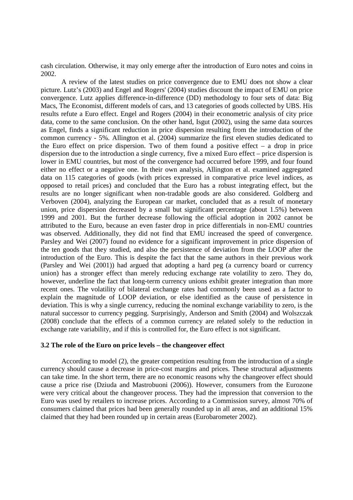cash circulation. Otherwise, it may only emerge after the introduction of Euro notes and coins in 2002.

A review of the latest studies on price convergence due to EMU does not show a clear picture. Lutz's (2003) and Engel and Rogers' (2004) studies discount the impact of EMU on price convergence. Lutz applies difference-in-difference (DD) methodology to four sets of data: Big Macs, The Economist, different models of cars, and 13 categories of goods collected by UBS. His results refute a Euro effect. Engel and Rogers (2004) in their econometric analysis of city price data, come to the same conclusion. On the other hand, Isgut (2002), using the same data sources as Engel, finds a significant reduction in price dispersion resulting from the introduction of the common currency - 5%. Allington et al. (2004) summarize the first eleven studies dedicated to the Euro effect on price dispersion. Two of them found a positive effect  $-$  a drop in price dispersion due to the introduction a single currency, five a mixed Euro effect – price dispersion is lower in EMU countries, but most of the convergence had occurred before 1999, and four found either no effect or a negative one. In their own analysis, Allington et al. examined aggregated data on 115 categories of goods (with prices expressed in comparative price level indices, as opposed to retail prices) and concluded that the Euro has a robust integrating effect, but the results are no longer significant when non-tradable goods are also considered. Goldberg and Verboven (2004), analyzing the European car market, concluded that as a result of monetary union, price dispersion decreased by a small but significant percentage (about 1.5%) between 1999 and 2001. But the further decrease following the official adoption in 2002 cannot be attributed to the Euro, because an even faster drop in price differentials in non-EMU countries was observed. Additionally, they did not find that EMU increased the speed of convergence. Parsley and Wei (2007) found no evidence for a significant improvement in price dispersion of the ten goods that they studied, and also the persistence of deviation from the LOOP after the introduction of the Euro. This is despite the fact that the same authors in their previous work (Parsley and Wei (2001)) had argued that adopting a hard peg (a currency board or currency union) has a stronger effect than merely reducing exchange rate volatility to zero. They do, however, underline the fact that long-term currency unions exhibit greater integration than more recent ones. The volatility of bilateral exchange rates had commonly been used as a factor to explain the magnitude of LOOP deviation, or else identified as the cause of persistence in deviation. This is why a single currency, reducing the nominal exchange variability to zero, is the natural successor to currency pegging. Surprisingly, Anderson and Smith (2004) and Wolszczak (2008) conclude that the effects of a common currency are related solely to the reduction in exchange rate variability, and if this is controlled for, the Euro effect is not significant.

# **3.2 The role of the Euro on price levels – the changeover effect**

According to model (2), the greater competition resulting from the introduction of a single currency should cause a decrease in price-cost margins and prices. These structural adjustments can take time. In the short term, there are no economic reasons why the changeover effect should cause a price rise (Dziuda and Mastrobuoni (2006)). However, consumers from the Eurozone were very critical about the changeover process. They had the impression that conversion to the Euro was used by retailers to increase prices. According to a Commission survey, almost 70% of consumers claimed that prices had been generally rounded up in all areas, and an additional 15% claimed that they had been rounded up in certain areas (Eurobarometer 2002).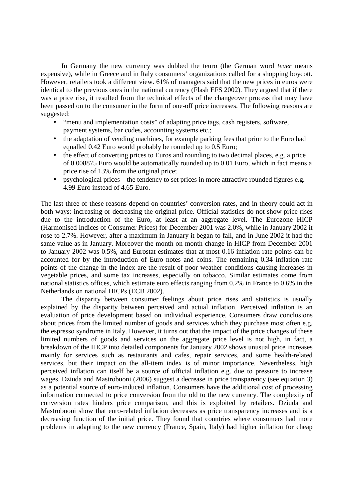In Germany the new currency was dubbed the teuro (the German word *teuer* means expensive), while in Greece and in Italy consumers' organizations called for a shopping boycott. However, retailers took a different view. 61% of managers said that the new prices in euros were identical to the previous ones in the national currency (Flash EFS 2002). They argued that if there was a price rise, it resulted from the technical effects of the changeover process that may have been passed on to the consumer in the form of one-off price increases. The following reasons are suggested:

- "menu and implementation costs" of adapting price tags, cash registers, software, payment systems, bar codes, accounting systems etc.;
- the adaptation of vending machines, for example parking fees that prior to the Euro had equalled 0.42 Euro would probably be rounded up to 0.5 Euro;
- the effect of converting prices to Euros and rounding to two decimal places, e.g. a price of 0.008875 Euro would be automatically rounded up to 0.01 Euro, which in fact means a price rise of 13% from the original price;
- psychological prices the tendency to set prices in more attractive rounded figures e.g. 4.99 Euro instead of 4.65 Euro.

The last three of these reasons depend on countries' conversion rates, and in theory could act in both ways: increasing or decreasing the original price. Official statistics do not show price rises due to the introduction of the Euro, at least at an aggregate level. The Eurozone HICP (Harmonised Indices of Consumer Prices) for December 2001 was 2.0%, while in January 2002 it rose to 2.7%. However, after a maximum in January it began to fall, and in June 2002 it had the same value as in January. Moreover the month-on-month change in HICP from December 2001 to January 2002 was 0.5%, and Eurostat estimates that at most 0.16 inflation rate points can be accounted for by the introduction of Euro notes and coins. The remaining 0.34 inflation rate points of the change in the index are the result of poor weather conditions causing increases in vegetable prices, and some tax increases, especially on tobacco. Similar estimates come from national statistics offices, which estimate euro effects ranging from 0.2% in France to 0.6% in the Netherlands on national HICPs (ECB 2002).

The disparity between consumer feelings about price rises and statistics is usually explained by the disparity between perceived and actual inflation. Perceived inflation is an evaluation of price development based on individual experience. Consumers draw conclusions about prices from the limited number of goods and services which they purchase most often e.g. the espresso syndrome in Italy. However, it turns out that the impact of the price changes of these limited numbers of goods and services on the aggregate price level is not high, in fact, a breakdown of the HICP into detailed components for January 2002 shows unusual price increases mainly for services such as restaurants and cafes, repair services, and some health-related services, but their impact on the all-item index is of minor importance. Nevertheless, high perceived inflation can itself be a source of official inflation e.g. due to pressure to increase wages. Dziuda and Mastrobuoni (2006) suggest a decrease in price transparency (see equation 3) as a potential source of euro-induced inflation. Consumers have the additional cost of processing information connected to price conversion from the old to the new currency. The complexity of conversion rates hinders price comparison, and this is exploited by retailers. Dziuda and Mastrobuoni show that euro-related inflation decreases as price transparency increases and is a decreasing function of the initial price. They found that countries where consumers had more problems in adapting to the new currency (France, Spain, Italy) had higher inflation for cheap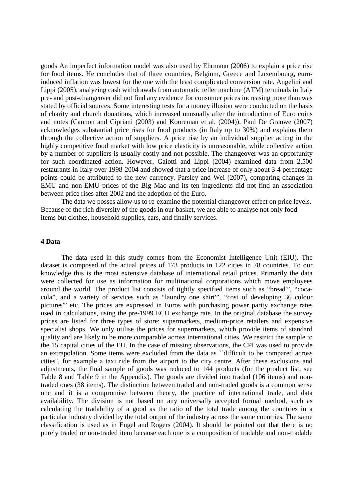goods An imperfect information model was also used by Ehrmann (2006) to explain a price rise for food items. He concludes that of three countries, Belgium, Greece and Luxembourg, euroinduced inflation was lowest for the one with the least complicated conversion rate. Angelini and Lippi (2005), analyzing cash withdrawals from automatic teller machine (ATM) terminals in Italy pre- and post-changeover did not find any evidence for consumer prices increasing more than was stated by official sources. Some interesting tests for a money illusion were conducted on the basis of charity and church donations, which increased unusually after the introduction of Euro coins and notes (Cannon and Cipriani (2003) and Kooreman et al. (2004)). Paul De Grauwe (2007) acknowledges substantial price rises for food products (in Italy up to 30%) and explains them through the collective action of suppliers. A price rise by an individual supplier acting in the highly competitive food market with low price elasticity is unreasonable, while collective action by a number of suppliers is usually costly and not possible. The changeover was an opportunity for such coordinated action. However, Gaiotti and Lippi (2004) examined data from 2,500 restaurants in Italy over 1998-2004 and showed that a price increase of only about 3-4 percentage points could be attributed to the new currency. Parsley and Wei (2007), comparing changes in EMU and non-EMU prices of the Big Mac and its ten ingredients did not find an association between price rises after 2002 and the adoption of the Euro.

The data we posses allow us to re-examine the potential changeover effect on price levels. Because of the rich diversity of the goods in our basket, we are able to analyse not only food items but clothes, household supplies, cars, and finally services.

#### **4 Data**

The data used in this study comes from the Economist Intelligence Unit (EIU). The dataset is composed of the actual prices of 173 products in 122 cities in 78 countries. To our knowledge this is the most extensive database of international retail prices. Primarily the data were collected for use as information for multinational corporations which move employees around the world. The product list consists of tightly specified items such as "bread'", "cocacola", and a variety of services such as "laundry one shirt'", "cost of developing 36 colour pictures'" etc. The prices are expressed in Euros with purchasing power parity exchange rates used in calculations, using the pre-1999 ECU exchange rate. In the original database the survey prices are listed for three types of store: supermarkets, medium-price retailers and expensive specialist shops. We only utilise the prices for supermarkets, which provide items of standard quality and are likely to be more comparable across international cities. We restrict the sample to the 15 capital cities of the EU. In the case of missing observations, the CPI was used to provide an extrapolation. Some items were excluded from the data as ``difficult to be compared across cities'', for example a taxi ride from the airport to the city centre. After these exclusions and adjustments, the final sample of goods was reduced to 144 products (for the product list, see Table 8 and Table 9 in the Appendix). The goods are divided into traded (106 items) and nontraded ones (38 items). The distinction between traded and non-traded goods is a common sense one and it is a compromise between theory, the practice of international trade, and data availability. The division is not based on any universally accepted formal method, such as calculating the tradability of a good as the ratio of the total trade among the countries in a particular industry divided by the total output of the industry across the same countries. The same classification is used as in Engel and Rogers (2004). It should be pointed out that there is no purely traded or non-traded item because each one is a composition of tradable and non-tradable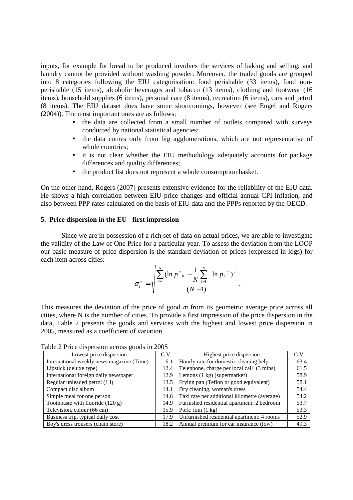inputs, for example for bread to be produced involves the services of baking and selling; and laundry cannot be provided without washing powder. Moreover, the traded goods are grouped into 8 categories following the EIU categorisation: food perishable (33 items), food nonperishable (15 items), alcoholic beverages and tobacco (13 items), clothing and footwear (16 items), household supplies (6 items), personal care (8 items), recreation (6 items), cars and petrol (8 items). The EIU dataset does have some shortcomings, however (see Engel and Rogers (2004)). The most important ones are as follows:

- the data are collected from a small number of outlets compared with surveys conducted by national statistical agencies;
- the data comes only from big agglomerations, which are not representative of whole countries;
- it is not clear whether the EIU methodology adequately accounts for package differences and quality differences;
- the product list does not represent a whole consumption basket.

On the other hand, Rogers (2007) presents extensive evidence for the reliability of the EIU data. He shows a high correlation between EIU price changes and official annual CPI inflation, and also between PPP rates calculated on the basis of EIU data and the PPPs reported by the OECD.

# **5. Price dispersion in the EU - first impression**

Since we are in possession of a rich set of data on actual prices, we are able to investigate the validity of the Law of One Price for a particular year. To assess the deviation from the LOOP our basic measure of price dispersion is the standard deviation of prices (expressed in logs) for each item across cities:

$$
\sigma_{t}^{m} = \sqrt{\frac{\sum_{i=1}^{N} (\ln p^{m_{it}} - \frac{1}{N} \sum_{i=1}^{N} \ln p_{it}^{m})^{2}}{(N-1)}}.
$$

This measures the deviation of the price of good *m* from its geometric average price across all cities, where N is the number of cities. To provide a first impression of the price dispersion in the data, Table 2 presents the goods and services with the highest and lowest price dispersion in 2005, measured as a coefficient of variation.

Table 2 Price dispersion across goods in 2005

| Lowest price dispersion                   | C.V  | Highest price dispersion                     | C.V  |
|-------------------------------------------|------|----------------------------------------------|------|
| International weekly news magazine (Time) | 6.1  | Hourly rate for domestic cleaning help       | 63.4 |
| Lipstick (deluxe type)                    | 12.4 | Telephone, charge per local call (3 mins)    | 61.5 |
| International foreign daily newspaper     | 12.9 | Lemons (1 kg) (supermarket)                  | 58.9 |
| Regular unleaded petrol (11)              | 13.5 | Frying pan (Teflon or good equivalent)       | 58.1 |
| Compact disc album                        | 14.1 | Dry cleaning, woman's dress                  | 54.4 |
| Simple meal for one person                | 14.6 | Taxi rate per additional kilometre (average) | 54.2 |
| Toothpaste with fluoride (120 g)          | 14.9 | Furnished residential apartment: 2 bedroom   | 53.7 |
| Television, colour (66 cm)                | 15.9 | Pork: $\text{loin}(1 \text{ kg})$            | 53.3 |
| Business trip, typical daily cost         | 17.9 | Unfurnished residential apartment: 4 rooms   | 52.9 |
| Boy's dress trousers (chain store)        | 18.2 | Annual premium for car insurance (low)       | 49.3 |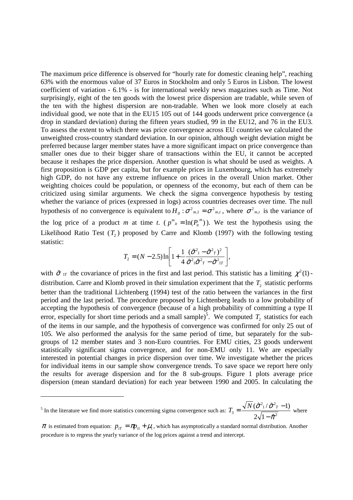The maximum price difference is observed for "hourly rate for domestic cleaning help", reaching 63% with the enormous value of 37 Euros in Stockholm and only 5 Euros in Lisbon. The lowest coefficient of variation - 6.1% - is for international weekly news magazines such as Time. Not surprisingly, eight of the ten goods with the lowest price dispersion are tradable, while seven of the ten with the highest dispersion are non-tradable. When we look more closely at each individual good, we note that in the EU15 105 out of 144 goods underwent price convergence (a drop in standard deviation) during the fifteen years studied, 99 in the EU12, and 76 in the EU3. To assess the extent to which there was price convergence across EU countries we calculated the unweighted cross-country standard deviation. In our opinion, although weight deviation might be preferred because larger member states have a more significant impact on price convergence than smaller ones due to their bigger share of transactions within the EU, it cannot be accepted because it reshapes the price dispersion. Another question is what should be used as weights. A first proposition is GDP per capita, but for example prices in Luxembourg, which has extremely high GDP, do not have any extreme influence on prices in the overall Union market. Other weighting choices could be population, or openness of the economy, but each of them can be criticized using similar arguments. We check the sigma convergence hypothesis by testing whether the variance of prices (expressed in logs) across countries decreases over time. The null hypothesis of no convergence is equivalent to  $H_0$ :  $\sigma^2_{m,1} = \sigma^2_{m,t}$  $\sigma^2_{m,1} = \sigma^2_{m,t}$ , where  $\sigma^2_{m,t}$  is the variance of the log price of a product *m* at time *t*. ( $p^{m}_{ii} = \ln(P_{ii}^{m})$ ). We test the hypothesis using the Likelihood Ratio Test  $(T_2)$  proposed by Carre and Klomb (1997) with the following testing statistic:

$$
T_2 = (N - 2.5) \ln \left[ 1 + \frac{1}{4} \frac{(\hat{\sigma}^2 - \hat{\sigma}^2)}{\hat{\sigma}^2} \frac{\hat{\sigma}^2}{\hat{\sigma}^2} - \hat{\sigma}^2 \frac{\hat{\sigma}^2}{\hat{\sigma}^2} \right],
$$

with  $\hat{\sigma}$  in the covariance of prices in the first and last period. This statistic has a limiting  $\chi^2(1)$ distribution. Carre and Klomb proved in their simulation experiment that the  $T_2$  statistic performs better than the traditional Lichtenberg (1994) test of the ratio between the variances in the first period and the last period. The procedure proposed by Lichtenberg leads to a low probability of accepting the hypothesis of convergence (because of a high probability of committing a type II error, especially for short time periods and a small sample)<sup>5</sup>. We computed  $T_2$  statistics for each of the items in our sample, and the hypothesis of convergence was confirmed for only 25 out of 105. We also performed the analysis for the same period of time, but separately for the subgroups of 12 member states and 3 non-Euro countries. For EMU cities, 23 goods underwent statistically significant sigma convergence, and for non-EMU only 11. We are especially interested in potential changes in price dispersion over time. We investigate whether the prices for individual items in our sample show convergence trends. To save space we report here only the results for average dispersion and for the 8 sub-groups. Figure 1 plots average price dispersion (mean standard deviation) for each year between 1990 and 2005. In calculating the

<sup>&</sup>lt;sup>5</sup> In the literature we find more statistics concerning sigma convergence such as:  $T_3 = \frac{\sqrt{1+(\mathcal{O}+1)} \cdot \mathcal{O}+1}{2\sqrt{1-\hat{\sigma}^2}}$  $\int_1^2/\hat{\sigma}^2$  $3 - 2\sqrt{1 - \hat{\pi}}$  $(\hat{\sigma}^2/(\hat{\sigma}^2 - 1))$ π  $\sigma$ 1/ $\sigma$ −  $T_3 = \frac{\sqrt{N}(\hat{\sigma}^2/\hat{\sigma}^2 - 1)}{\sqrt{N}}$  where

 $\pi$  is estimated from equation:  $p_{iT} = \pi p_{i1} + \mu_i$ , which has asymptotically a standard normal distribution. Another procedure is to regress the yearly variance of the log prices against a trend and intercept.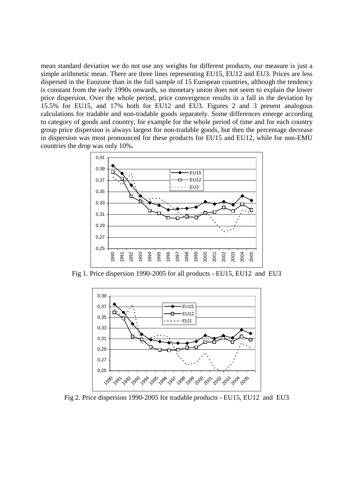mean standard deviation we do not use any weights for different products, our measure is just a simple arithmetic mean. There are three lines representing EU15, EU12 and EU3. Prices are less dispersed in the Euozone than in the full sample of 15 European countries, although the tendency is constant from the early 1990s onwards, so monetary union does not seem to explain the lower price dispersion. Over the whole period, price convergence results in a fall in the deviation by 15.5% for EU15, and 17% both for EU12 and EU3. Figures 2 and 3 present analogous calculations for tradable and non-tradable goods separately. Some differences emerge according to category of goods and country, for example for the whole period of time and for each country group price dispersion is always largest for non-tradable goods, but then the percentage decrease in dispersion was most pronounced for these products for EU15 and EU12, while for non-EMU countries the drop was only 10%.



Fig 1. Price dispersion 1990-2005 for all products - EU15, EU12 and EU3



Fig 2. Price dispersion 1990-2005 for tradable products - EU15, EU12 and EU3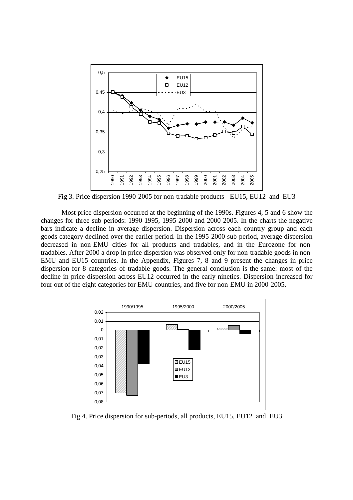

Fig 3. Price dispersion 1990-2005 for non-tradable products - EU15, EU12 and EU3

Most price dispersion occurred at the beginning of the 1990s. Figures 4, 5 and 6 show the changes for three sub-periods: 1990-1995, 1995-2000 and 2000-2005. In the charts the negative bars indicate a decline in average dispersion. Dispersion across each country group and each goods category declined over the earlier period. In the 1995-2000 sub-period, average dispersion decreased in non-EMU cities for all products and tradables, and in the Eurozone for nontradables. After 2000 a drop in price dispersion was observed only for non-tradable goods in non-EMU and EU15 countries. In the Appendix, Figures 7, 8 and 9 present the changes in price dispersion for 8 categories of tradable goods. The general conclusion is the same: most of the decline in price dispersion across EU12 occurred in the early nineties. Dispersion increased for four out of the eight categories for EMU countries, and five for non-EMU in 2000-2005.



Fig 4. Price dispersion for sub-periods, all products, EU15, EU12 and EU3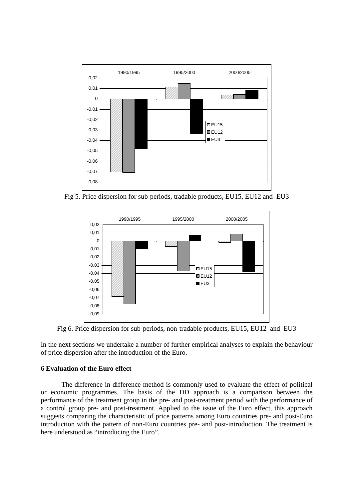

Fig 5. Price dispersion for sub-periods, tradable products, EU15, EU12 and EU3



Fig 6. Price dispersion for sub-periods, non-tradable products, EU15, EU12 and EU3

In the next sections we undertake a number of further empirical analyses to explain the behaviour of price dispersion after the introduction of the Euro.

# **6 Evaluation of the Euro effect**

The difference-in-difference method is commonly used to evaluate the effect of political or economic programmes. The basis of the DD approach is a comparison between the performance of the treatment group in the pre- and post-treatment period with the performance of a control group pre- and post-treatment. Applied to the issue of the Euro effect, this approach suggests comparing the characteristic of price patterns among Euro countries pre- and post-Euro introduction with the pattern of non-Euro countries pre- and post-introduction. The treatment is here understood as "introducing the Euro".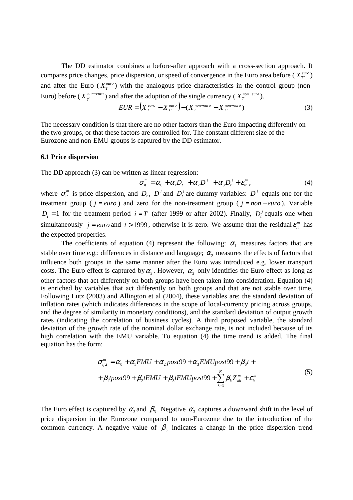The DD estimator combines a before-after approach with a cross-section approach. It compares price changes, price dispersion, or speed of convergence in the Euro area before ( $X_T^{euro}$ ) and after the Euro ( $X_T^{euro}$ ) with the analogous price characteristics in the control group (non-Euro) before ( $X_T^{non-euro}$ ) and after the adoption of the single currency ( $X_T^{non-euro}$ ).

$$
EUR = \left(X_T^{\text{ euro}} - X_T^{\text{ euro}}\right) - \left(X_T^{\text{ non-euro}} - X_T^{\text{ non-euro}}\right) \tag{3}
$$

The necessary condition is that there are no other factors than the Euro impacting differently on the two groups, or that these factors are controlled for. The constant different size of the Eurozone and non-EMU groups is captured by the DD estimator.

#### **6.1 Price dispersion**

The DD approach (3) can be written as linear regression:

$$
\sigma_{ii}^m = \alpha_0 + \alpha_1 D_t + \alpha_2 D^j + \alpha_3 D_t^j + \varepsilon_{ii}^m,
$$
\n(4)

where  $\sigma_{ii}^m$  is price dispersion, and  $D_t$ ,  $D^j$  and  $D^j_t$  are dummy variables:  $D^j$  equals one for the treatment group ( *j* = *euro* ) and zero for the non-treatment group ( *j* = *non* − *euro* ). Variable  $D_t = 1$  for the treatment period  $i = T$  (after 1999 or after 2002). Finally,  $D_t^j$  equals one when simultaneously  $j = euro$  and  $t > 1999$ , otherwise it is zero. We assume that the residual  $\varepsilon_{it}^{m}$  has the expected properties.

The coefficients of equation (4) represent the following:  $\alpha_1$  measures factors that are stable over time e.g.: differences in distance and language;  $\alpha_2$  measures the effects of factors that influence both groups in the same manner after the Euro was introduced e.g. lower transport costs. The Euro effect is captured by  $\alpha_3$ . However,  $\alpha_3$  only identifies the Euro effect as long as other factors that act differently on both groups have been taken into consideration. Equation (4) is enriched by variables that act differently on both groups and that are not stable over time. Following Lutz (2003) and Allington et al (2004), these variables are: the standard deviation of inflation rates (which indicates differences in the scope of local-currency pricing across groups, and the degree of similarity in monetary conditions), and the standard deviation of output growth rates (indicating the correlation of business cycles). A third proposed variable, the standard deviation of the growth rate of the nominal dollar exchange rate, is not included because of its high correlation with the EMU variable. To equation (4) the time trend is added. The final equation has the form:

$$
\sigma_{ij,t}^{m} = \alpha_0 + \alpha_1 EMU + \alpha_2 post99 + \alpha_3 EMUpost99 + \beta_0 t ++ \beta_1 t post99 + \beta_2 t EMU + \beta_3 t EMUpost99 + \sum_{k=1}^{K} \beta_k Z_{ki}^{m} + \varepsilon_{it}^{m}
$$
\n(5)

The Euro effect is captured by  $\alpha_3$  and  $\beta_3$ . Negative  $\alpha_3$  captures a downward shift in the level of price dispersion in the Eurozone compared to non-Eurozone due to the introduction of the common currency. A negative value of  $\beta_3$  indicates a change in the price dispersion trend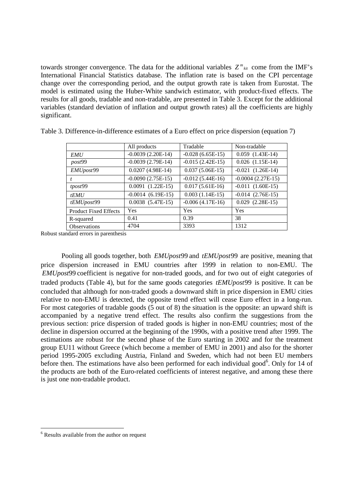towards stronger convergence. The data for the additional variables  $Z^m{}_{ki}$  come from the IMF's International Financial Statistics database. The inflation rate is based on the CPI percentage change over the corresponding period, and the output growth rate is taken from Eurostat. The model is estimated using the Huber-White sandwich estimator, with product-fixed effects. The results for all goods, tradable and non-tradable, are presented in Table 3. Except for the additional variables (standard deviation of inflation and output growth rates) all the coefficients are highly significant.

|                              | All products          | Tradable           | Non-tradable          |
|------------------------------|-----------------------|--------------------|-----------------------|
| <b>EMU</b>                   | $-0.0039(2.20E-14)$   | $-0.028(6.65E-15)$ | $0.059$ $(1.43E-14)$  |
| post99                       | $-0.0039(2.79E-14)$   | $-0.015(2.42E-15)$ | $0.026$ $(1.15E-14)$  |
| EMUpost99                    | $0.0207(4.98E-14)$    | $0.037(5.06E-15)$  | $-0.021$ $(1.26E-14)$ |
|                              | $-0.0090(2.75E-15)$   | $-0.012(5.44E-16)$ | $-0.0004(2.27E-15)$   |
| tpost99                      | $0.0091$ $(1.22E-15)$ | $0.017(5.61E-16)$  | $-0.011$ $(1.60E-15)$ |
| tEMU                         | $-0.0014$ (6.19E-15)  | $0.003(1.14E-15)$  | $-0.014$ $(2.76E-15)$ |
| tEMUpost99                   | $0.0038$ $(5.47E-15)$ | $-0.006(4.17E-16)$ | $0.029$ $(2.28E-15)$  |
| <b>Product Fixed Effects</b> | Yes                   | <b>Yes</b>         | Yes                   |
| R-squared                    | 0.41                  | 0.39               | 38                    |
| <b>Observations</b>          | 4704                  | 3393               | 1312                  |

Table 3. Difference-in-difference estimates of a Euro effect on price dispersion (equation 7)

Robust standard errors in parenthesis

Pooling all goods together, both *EMUpost*99 and *tEMUpost*99 are positive, meaning that price dispersion increased in EMU countries after 1999 in relation to non-EMU. The *EMUpost*99 coefficient is negative for non-traded goods, and for two out of eight categories of traded products (Table 4), but for the same goods categories *tEMUpost*99 is positive. It can be concluded that although for non-traded goods a downward shift in price dispersion in EMU cities relative to non-EMU is detected, the opposite trend effect will cease Euro effect in a long-run. For most categories of tradable goods (5 out of 8) the situation is the opposite: an upward shift is accompanied by a negative trend effect. The results also confirm the suggestions from the previous section: price dispersion of traded goods is higher in non-EMU countries; most of the decline in dispersion occurred at the beginning of the 1990s, with a positive trend after 1999. The estimations are robust for the second phase of the Euro starting in 2002 and for the treatment group EU11 without Greece (which become a member of EMU in 2001) and also for the shorter period 1995-2005 excluding Austria, Finland and Sweden, which had not been EU members before then. The estimations have also been performed for each individual good<sup>6</sup>. Only for 14 of the products are both of the Euro-related coefficients of interest negative, and among these there is just one non-tradable product.

 $\overline{a}$ 

<sup>&</sup>lt;sup>6</sup> Results available from the author on request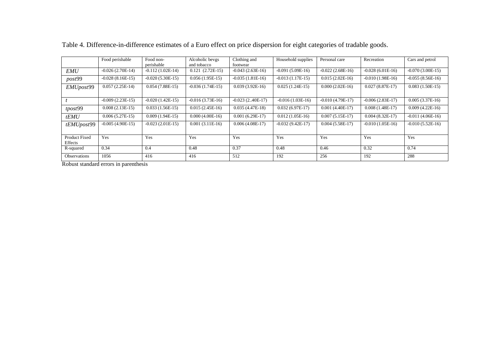|                                 | Food perishable    | Food non-          | Alcoholic bevgs    | Clothing and       | Household supplies | Personal care      | Recreation         | Cars and petrol    |
|---------------------------------|--------------------|--------------------|--------------------|--------------------|--------------------|--------------------|--------------------|--------------------|
|                                 |                    | perishable         | and tobacco        | footwear           |                    |                    |                    |                    |
| <b>EMU</b>                      | $-0.026(2.70E-14)$ | $-0.112(1.02E-14)$ | $0.121(2.72E-15)$  | $-0.043(2.63E-16)$ | $-0.091(5.09E-16)$ | $-0.022(2.68E-16)$ | $-0.028(6.01E-16)$ | $-0.070(3.00E-15)$ |
| post99                          | $-0.028(8.16E-15)$ | $-0.020(5.30E-15)$ | $0.056(1.95E-15)$  | $-0.035(1.81E-16)$ | $-0.013(1.17E-15)$ | $0.015(2.02E-16)$  | $-0.010(1.98E-16)$ | $-0.055(8.56E-16)$ |
| EMUpost99                       | $0.057(2.25E-14)$  | $0.054(7.88E-15)$  | $-0.036(1.74E-15)$ | $0.039(3.92E-16)$  | $0.025(1.24E-15)$  | $0.000(2.02E-16)$  | $0.027(8.87E-17)$  | $0.083(1.50E-15)$  |
|                                 |                    |                    |                    |                    |                    |                    |                    |                    |
|                                 | $-0.009(2.23E-15)$ | $-0.020(1.42E-15)$ | $-0.016(3.73E-16)$ | $-0.023(2.40E-17)$ | $-0.016(1.03E-16)$ | $-0.010(4.79E-17)$ | $-0.006(2.83E-17)$ | $0.005(3.37E-16)$  |
| tpost99                         | $0.008(2.13E-15)$  | $0.033(1.56E-15)$  | $0.015(2.45E-16)$  | $0.035(4.47E-18)$  | $0.032(6.97E-17)$  | $0.001(4.40E-17)$  | $0.008(1.48E-17)$  | $0.009(4.22E-16)$  |
| tEMU                            | $0.006(5.27E-15)$  | $0.009(1.94E-15)$  | $0.000(4.00E-16)$  | $0.001(6.29E-17)$  | $0.012(1.05E-16)$  | $0.007(5.15E-17)$  | $0.004(8.32E-17)$  | $-0.011(4.06E-16)$ |
| tEMUpost99                      | $-0.005(4.90E-15)$ | $-0.023(2.01E-15)$ | $0.001(3.11E-16)$  | $0.006(4.08E-17)$  | $-0.032(9.42E-17)$ | $0.004(5.58E-17)$  | $-0.010(1.05E-16)$ | $-0.010(5.52E-16)$ |
| <b>Product Fixed</b><br>Effects | Yes                | <b>Yes</b>         | Yes                | Yes                | Yes                | Yes                | Yes                | Yes                |
| R-squared                       | 0.34               | 0.4                | 0.48               | 0.37               | 0.48               | 0.46               | 0.32               | 0.74               |
| <b>Observations</b>             | 1056               | 416                | 416                | 512                | 192                | 256                | 192                | 288                |

Table 4. Difference-in-difference estimates of a Euro effect on price dispersion for eight categories of tradable goods.

Robust standard errors in parenthesis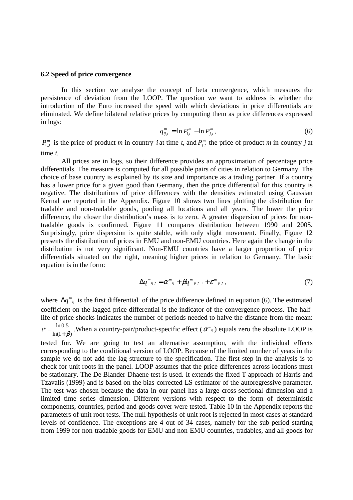## **6.2 Speed of price convergence**

In this section we analyse the concept of beta convergence, which measures the persistence of deviation from the LOOP. The question we want to address is whether the introduction of the Euro increased the speed with which deviations in price differentials are eliminated. We define bilateral relative prices by computing them as price differences expressed in logs:

$$
q_{ij,t}^m = \ln P_{i,t}^m - \ln P_{j,t}^m,\tag{6}
$$

 $P_{i,t}^m$  is the price of product *m* in country *i* at time *t*, and  $P_{i,t}^m$  the price of product *m* in country *j* at time *t*.

All prices are in logs, so their difference provides an approximation of percentage price differentials. The measure is computed for all possible pairs of cities in relation to Germany. The choice of base country is explained by its size and importance as a trading partner. If a country has a lower price for a given good than Germany, then the price differential for this country is negative. The distributions of price differences with the densities estimated using Gaussian Kernal are reported in the Appendix. Figure 10 shows two lines plotting the distribution for tradable and non-tradable goods, pooling all locations and all years. The lower the price difference, the closer the distribution's mass is to zero. A greater dispersion of prices for nontradable goods is confirmed. Figure 11 compares distribution between 1990 and 2005. Surprisingly, price dispersion is quite stable, with only slight movement. Finally, Figure 12 presents the distribution of prices in EMU and non-EMU countries. Here again the change in the distribution is not very significant. Non-EMU countries have a larger proportion of price differentials situated on the right, meaning higher prices in relation to Germany. The basic equation is in the form:

$$
\Delta q^m_{ij,t} = \alpha^m_{ij} + \beta q^m_{ji,t-1} + \varepsilon^m_{ji,t}, \qquad (7)
$$

where  $\Delta q^m_{ij}$  is the first differential of the price difference defined in equation (6). The estimated coefficient on the lagged price differential is the indicator of the convergence process. The halflife of price shocks indicates the number of periods needed to halve the distance from the mean:

 $ln(1 + \beta)$  $t^* = \frac{\ln 0.5}{\ln(1+\beta)}$ . When a country-pair/product-specific effect ( $\alpha^m_{ij}$ ) equals zero the absolute LOOP is

tested for. We are going to test an alternative assumption, with the individual effects corresponding to the conditional version of LOOP. Because of the limited number of years in the sample we do not add the lag structure to the specification. The first step in the analysis is to check for unit roots in the panel. LOOP assumes that the price differences across locations must be stationary. The De Blander-Dhaene test is used. It extends the fixed T approach of Harris and Tzavalis (1999) and is based on the bias-corrected LS estimator of the autoregressive parameter. The test was chosen because the data in our panel has a large cross-sectional dimension and a limited time series dimension. Different versions with respect to the form of deterministic components, countries, period and goods cover were tested. Table 10 in the Appendix reports the parameters of unit root tests. The null hypothesis of unit root is rejected in most cases at standard levels of confidence. The exceptions are 4 out of 34 cases, namely for the sub-period starting from 1999 for non-tradable goods for EMU and non-EMU countries, tradables, and all goods for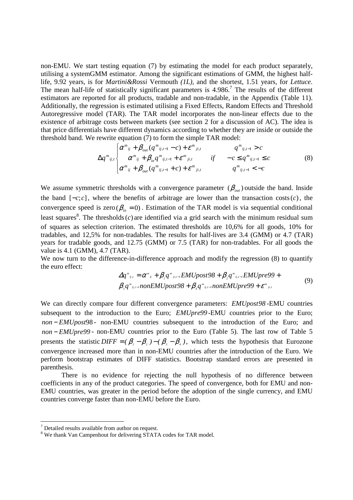non-EMU. We start testing equation (7) by estimating the model for each product separately, utilising a systemGMM estimator. Among the significant estimations of GMM, the highest halflife, 9.92 years, is for *Martini&Rossi* Vermouth *(1L),* and the shortest, 1.51 years, for *Lettuce*. The mean half-life of statistically significant parameters is  $4.986$ .<sup>7</sup> The results of the different estimators are reported for all products, tradable and non-tradable, in the Appendix (Table 11). Additionally, the regression is estimated utilising a Fixed Effects, Random Effects and Threshold Autoregressive model (TAR). The TAR model incorporates the non-linear effects due to the existence of arbitrage costs between markets (see section 2 for a discussion of AC). The idea is that price differentials have different dynamics according to whether they are inside or outside the threshold band. We rewrite equation (7) to form the simple TAR model:

$$
\Delta q^{m}{}_{ij,t} \begin{cases} \alpha^{m}{}_{ij} + \beta_{out} (q^{m}{}_{ij,t-1} - c) + \varepsilon^{m}{}_{ji,t} & q^{m}{}_{ij,t-1} > c \\ \alpha^{m}{}_{ij} + \beta_{in} q^{m}{}_{ij,t-1} + \varepsilon^{m}{}_{ji,t} & if -c \leq q^{m}{}_{ij,t-1} \leq c \\ \alpha^{m}{}_{ij} + \beta_{out} (q^{m}{}_{ij,t-1} + c) + \varepsilon^{m}{}_{ji,t} & q^{m}{}_{ij,t-1} < -c \end{cases}
$$
(8)

We assume symmetric thresholds with a convergence parameter  $(\beta_{out})$  outside the band. Inside the band [−*c*;*c*], where the benefits of arbitrage are lower than the transaction costs(*c*), the convergence speed is zero ( $\beta_{in} = 0$ ). Estimation of the TAR model is via sequential conditional least squares<sup>8</sup>. The thresholds  $(c)$  are identified via a grid search with the minimum residual sum of squares as selection criterion. The estimated thresholds are 10,6% for all goods, 10% for tradables, and 12,5% for non-tradables. The results for half-lives are 3.4 (GMM) or 4.7 (TAR) years for tradable goods, and 12.75 (GMM) or 7.5 (TAR) for non-tradables. For all goods the value is 4.1 (GMM), 4.7 (TAR).

We now turn to the difference-in-difference approach and modify the regression  $(8)$  to quantify the euro effect:

$$
\Delta q^{\mathfrak{m}}_{ij} = \alpha^{\mathfrak{m}}_{ij} + \beta_i q^{\mathfrak{m}}_{ji,j-l} EMUpost98 + \beta_i q^{\mathfrak{m}}_{ij,l-l} EMUpre99 +
$$
  

$$
\beta_i q^{\mathfrak{m}}_{ij,l-l} non EMUpost98 + \beta_i q^{\mathfrak{m}}_{ij,l-l} non EMUpre99 + \varepsilon^{\mathfrak{m}}_{ji,l}
$$
 (9)

We can directly compare four different convergence parameters: *EMUpost98* -EMU countries subsequent to the introduction to the Euro; *EMUpre99*-EMU countries prior to the Euro; *non* − *EMUpost*98 - non-EMU countries subsequent to the introduction of the Euro; and *non* − *EMUpre99* - non-EMU countries prior to the Euro (Table 5). The last row of Table 5 presents the statistic *DIFF* =  $(\beta_1 - \beta_2) - (\beta_3 - \beta_4)$ , which tests the hypothesis that Eurozone convergence increased more than in non-EMU countries after the introduction of the Euro. We perform bootstrap estimates of DIFF statistics. Bootstrap standard errors are presented in parenthesis.

 There is no evidence for rejecting the null hypothesis of no difference between coefficients in any of the product categories. The speed of convergence, both for EMU and non-EMU countries, was greater in the period before the adoption of the single currency, and EMU countries converge faster than non-EMU before the Euro.

 7 Detailed results available from author on request.

 $8$  We thank Van Campenhout for delivering STATA codes for TAR model.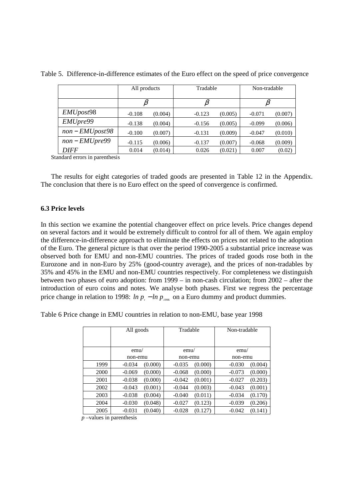|                        | All products |         | Tradable |         | Non-tradable |         |  |
|------------------------|--------------|---------|----------|---------|--------------|---------|--|
|                        |              |         |          |         |              |         |  |
| EMU <sub>post</sub> 98 | $-0.108$     | (0.004) | $-0.123$ | (0.005) | $-0.071$     | (0.007) |  |
| EMUpre99               | $-0.138$     | (0.004) | $-0.156$ | (0.005) | $-0.099$     | (0.006) |  |
| $non-EMUpost98$        | $-0.100$     | (0.007) | $-0.131$ | (0.009) | $-0.047$     | (0.010) |  |
| $non-EMUpre99$         | $-0.115$     | (0.006) | $-0.137$ | (0.007) | $-0.068$     | (0.009) |  |
| <b>DIFF</b>            | 0.014        | (0.014) | 0.026    | (0.021) | 0.007        | (0.02)  |  |

Table 5. Difference-in-difference estimates of the Euro effect on the speed of price convergence

Standard errors in parenthesis

The results for eight categories of traded goods are presented in Table 12 in the Appendix. The conclusion that there is no Euro effect on the speed of convergence is confirmed.

# **6.3 Price levels**

In this section we examine the potential changeover effect on price levels. Price changes depend on several factors and it would be extremely difficult to control for all of them. We again employ the difference-in-difference approach to eliminate the effects on prices not related to the adoption of the Euro. The general picture is that over the period 1990-2005 a substantial price increase was observed both for EMU and non-EMU countries. The prices of traded goods rose both in the Eurozone and in non-Euro by 25% (good-country average), and the prices of non-tradables by 35% and 45% in the EMU and non-EMU countries respectively. For completeness we distinguish between two phases of euro adoption: from 1999 – in non-cash circulation; from 2002 – after the introduction of euro coins and notes. We analyse both phases. First we regress the percentage price change in relation to 1998:  $ln p_t - ln p_{\text{loss}}$  on a Euro dummy and product dummies.

Table 6 Price change in EMU countries in relation to non-EMU, base year 1998

|      | All goods | Tradable | Non-tradable |  |  |
|------|-----------|----------|--------------|--|--|
|      |           |          |              |  |  |
|      | emu/      | emu/     | emu/         |  |  |
|      | non-emu   | non-emu  | non-emu      |  |  |
| 1999 | $-0.034$  | $-0.035$ | (0.004)      |  |  |
|      | (0.000)   | (0.000)  | $-0.030$     |  |  |
| 2000 | (0.000)   | (0.000)  | (0.000)      |  |  |
|      | $-0.069$  | $-0.068$ | $-0.073$     |  |  |
| 2001 | (0.000)   | (0.001)  | (0.203)      |  |  |
|      | $-0.038$  | $-0.042$ | $-0.027$     |  |  |
| 2002 | (0.001)   | (0.003)  | (0.001)      |  |  |
|      | $-0.043$  | $-0.044$ | $-0.043$     |  |  |
| 2003 | (0.004)   | (0.011)  | (0.170)      |  |  |
|      | $-0.038$  | $-0.040$ | $-0.034$     |  |  |
| 2004 | (0.048)   | (0.123)  | (0.206)      |  |  |
|      | $-0.030$  | $-0.027$ | $-0.039$     |  |  |
| 2005 | (0.040)   | (0.127)  | (0.141)      |  |  |
|      | $-0.031$  | $-0.028$ | $-0.042$     |  |  |

*p* –values in parenthesis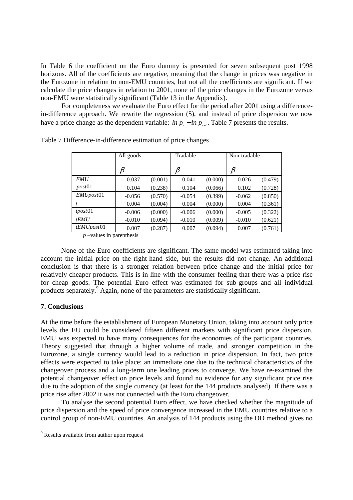In Table 6 the coefficient on the Euro dummy is presented for seven subsequent post 1998 horizons. All of the coefficients are negative, meaning that the change in prices was negative in the Eurozone in relation to non-EMU countries, but not all the coefficients are significant. If we calculate the price changes in relation to 2001, none of the price changes in the Eurozone versus non-EMU were statistically significant (Table 13 in the Appendix).

For completeness we evaluate the Euro effect for the period after 2001 using a differencein-difference approach. We rewrite the regression (5), and instead of price dispersion we now have a price change as the dependent variable:  $\ln p_i - \ln p_{i-1}$ . Table 7 presents the results.

|                   | All goods |         | Tradable |         | Non-tradable |         |  |
|-------------------|-----------|---------|----------|---------|--------------|---------|--|
|                   |           |         |          |         |              |         |  |
|                   | $\beta$   |         |          |         |              |         |  |
| <b>EMU</b>        | 0.037     | (0.001) | 0.041    | (0.000) | 0.026        | (0.479) |  |
| post01            | 0.104     | (0.238) | 0.104    | (0.066) | 0.102        | (0.728) |  |
| <i>EMUpost</i> 01 | $-0.056$  | (0.570) | $-0.054$ | (0.399) | $-0.062$     | (0.850) |  |
|                   | 0.004     | (0.004) | 0.004    | (0.000) | 0.004        | (0.361) |  |
| tpost01           | $-0.006$  | (0.000) | $-0.006$ | (0.000) | $-0.005$     | (0.322) |  |
| tEMU              | $-0.010$  | (0.094) | $-0.010$ | (0.009) | $-0.010$     | (0.621) |  |
| tEMUpost01        | 0.007     | (0.287) | 0.007    | (0.094) | 0.007        | (0.761) |  |
| $\mathbf{1}$      | $\cdot$ 1 |         |          |         |              |         |  |

Table 7 Difference-in-difference estimation of price changes

*p* –values in parenthesis

None of the Euro coefficients are significant. The same model was estimated taking into account the initial price on the right-hand side, but the results did not change. An additional conclusion is that there is a stronger relation between price change and the initial price for relatively cheaper products. This is in line with the consumer feeling that there was a price rise for cheap goods. The potential Euro effect was estimated for sub-groups and all individual products separately.<sup>9</sup> Again, none of the parameters are statistically significant.

# **7. Conclusions**

At the time before the establishment of European Monetary Union, taking into account only price levels the EU could be considered fifteen different markets with significant price dispersion. EMU was expected to have many consequences for the economies of the participant countries. Theory suggested that through a higher volume of trade, and stronger competition in the Eurozone, a single currency would lead to a reduction in price dispersion. In fact, two price effects were expected to take place: an immediate one due to the technical characteristics of the changeover process and a long-term one leading prices to converge. We have re-examined the potential changeover effect on price levels and found no evidence for any significant price rise due to the adoption of the single currency (at least for the 144 products analysed). If there was a price rise after 2002 it was not connected with the Euro changeover.

To analyse the second potential Euro effect, we have checked whether the magnitude of price dispersion and the speed of price convergence increased in the EMU countries relative to a control group of non-EMU countries. An analysis of 144 products using the DD method gives no

<sup>&</sup>lt;sup>9</sup> Results available from author upon request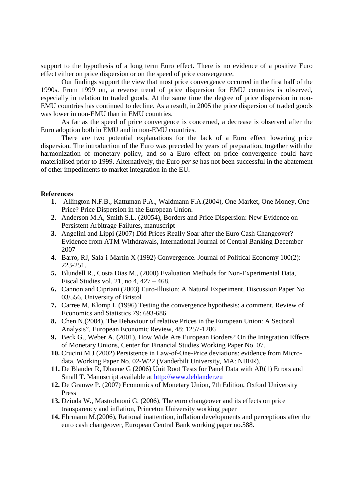support to the hypothesis of a long term Euro effect. There is no evidence of a positive Euro effect either on price dispersion or on the speed of price convergence.

Our findings support the view that most price convergence occurred in the first half of the 1990s. From 1999 on, a reverse trend of price dispersion for EMU countries is observed, especially in relation to traded goods. At the same time the degree of price dispersion in non-EMU countries has continued to decline. As a result, in 2005 the price dispersion of traded goods was lower in non-EMU than in EMU countries.

As far as the speed of price convergence is concerned, a decrease is observed after the Euro adoption both in EMU and in non-EMU countries.

There are two potential explanations for the lack of a Euro effect lowering price dispersion. The introduction of the Euro was preceded by years of preparation, together with the harmonization of monetary policy, and so a Euro effect on price convergence could have materialised prior to 1999. Alternatively, the Euro *per se* has not been successful in the abatement of other impediments to market integration in the EU.

# **References**

- **1.** Allington N.F.B., Kattuman P.A., Waldmann F.A.(2004), One Market, One Money, One Price? Price Dispersion in the European Union.
- **2.** Anderson M.A, Smith S.L. (20054), Borders and Price Dispersion: New Evidence on Persistent Arbitrage Failures, manuscript
- **3.** Angelini and Lippi (2007) Did Prices Really Soar after the Euro Cash Changeover? Evidence from ATM Withdrawals, International Journal of Central Banking December 2007
- **4.** Barro, RJ, Sala-i-Martin X (1992) Convergence. Journal of Political Economy 100(2): 223-251.
- **5.** Blundell R., Costa Dias M., (2000) Evaluation Methods for Non-Experimental Data, Fiscal Studies vol. 21, no 4, 427 – 468.
- **6.** Cannon and Cipriani (2003) Euro-illusion: A Natural Experiment, Discussion Paper No 03/556, University of Bristol
- **7.** Carree M, Klomp L (1996) Testing the convergence hypothesis: a comment. Review of Economics and Statistics 79: 693-686
- **8.** Chen N.(2004), The Behaviour of relative Prices in the European Union: A Sectoral Analysis", European Economic Review, 48: 1257-1286
- **9.** Beck G., Weber A. (2001), How Wide Are European Borders? On the Integration Effects of Monetary Unions, Center for Financial Studies Working Paper No. 07.
- **10.** Crucini M.J (2002) Persistence in Law-of-One-Price deviations: evidence from Microdata, Working Paper No. 02-W22 (Vanderbilt University, MA: NBER).
- **11.** De Blander R, Dhaene G (2006) Unit Root Tests for Panel Data with AR(1) Errors and Small T. Manuscript available at http://www.deblander.eu
- **12.** De Grauwe P. (2007) Economics of Monetary Union, 7th Edition, Oxford University Press
- **13.** Dziuda W., Mastrobuoni G. (2006), The euro changeover and its effects on price transparency and inflation, Princeton University working paper
- **14.** Ehrmann M.(2006), Rational inattention, inflation developments and perceptions after the euro cash changeover, European Central Bank working paper no.588.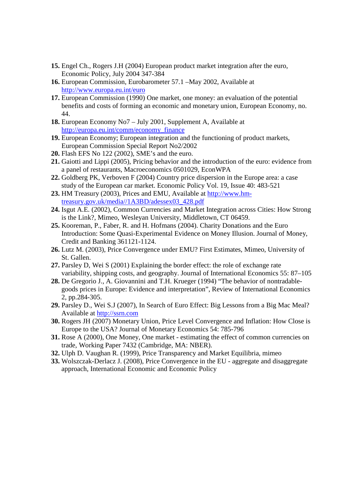- **15.** Engel Ch., Rogers J.H (2004) European product market integration after the euro, Economic Policy, July 2004 347-384
- **16.** European Commission, Eurobarometer 57.1 –May 2002, Available at http://www.europa.eu.int/euro
- **17.** European Commission (1990) One market, one money: an evaluation of the potential benefits and costs of forming an economic and monetary union, European Economy, no. 44.
- **18.** European Economy No7 July 2001, Supplement A, Available at http://europa.eu.int/comm/economy\_finance
- **19.** European Economy; European integration and the functioning of product markets, European Commission Special Report No2/2002
- **20.** Flash EFS No 122 (2002), SME's and the euro.
- **21.** Gaiotti and Lippi (2005), Pricing behavior and the introduction of the euro: evidence from a panel of restaurants, Macroeconomics 0501029, EconWPA
- **22.** Goldberg PK, Verboven F (2004) Country price dispersion in the Europe area: a case study of the European car market. Economic Policy Vol. 19, Issue 40: 483-521
- **23.** HM Treasury (2003), Prices and EMU, Available at http://www.hmtreasury.gov.uk/media//1A3BD/adessex03\_428.pdf
- **24.** Isgut A.E. (2002), Common Currencies and Market Integration across Cities: How Strong is the Link?, Mimeo, Wesleyan University, Middletown, CT 06459.
- **25.** Kooreman, P., Faber, R. and H. Hofmans (2004). Charity Donations and the Euro Introduction: Some Quasi-Experimental Evidence on Money Illusion. Journal of Money, Credit and Banking 361121-1124.
- **26.** Lutz M. (2003), Price Convergence under EMU? First Estimates, Mimeo, University of St. Gallen.
- **27.** Parsley D, Wei S (2001) Explaining the border effect: the role of exchange rate variability, shipping costs, and geography. Journal of International Economics 55: 87–105
- **28.** De Gregorio J., A. Giovannini and T.H. Krueger (1994) "The behavior of nontradablegoods prices in Europe: Evidence and interpretation", Review of International Economics 2, pp.284-305.
- **29.** Parsley D., Wei S.J (2007), In Search of Euro Effect: Big Lessons from a Big Mac Meal? Available at http://ssrn.com
- **30.** Rogers JH (2007) Monetary Union, Price Level Convergence and Inflation: How Close is Europe to the USA? Journal of Monetary Economics 54: 785-796
- **31.** Rose A (2000), One Money, One market estimating the effect of common currencies on trade, Working Paper 7432 (Cambridge, MA: NBER).
- **32.** Ulph D. Vaughan R. (1999), Price Transparency and Market Equilibria, mimeo
- **33.** Wolszczak-Derlacz J. (2008), Price Convergence in the EU aggregate and disaggregate approach, International Economic and Economic Policy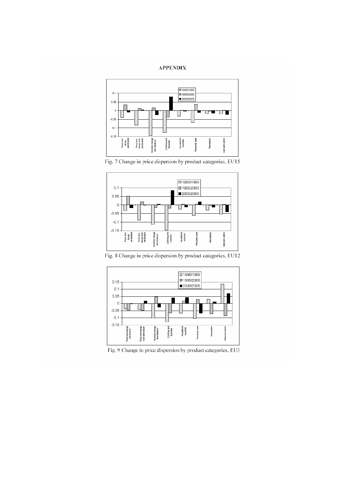#### **APPENDIX**







Fig. 8 Change in price dispersion by product categories, EU12



Fig. 9 Change in price dispersion by product categories, EU3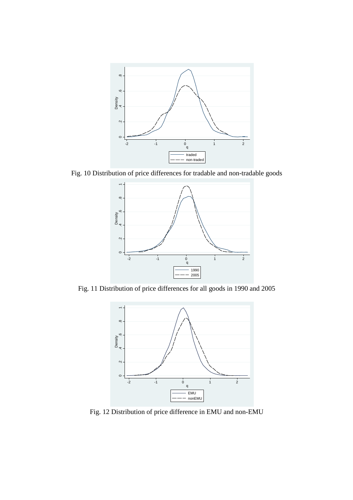

Fig. 10 Distribution of price differences for tradable and non-tradable goods



Fig. 11 Distribution of price differences for all goods in 1990 and 2005



Fig. 12 Distribution of price difference in EMU and non-EMU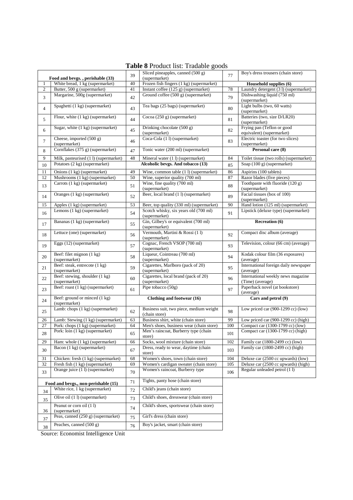|  |  | <b>Table 8 Product list: Tradable goods</b> |  |
|--|--|---------------------------------------------|--|

|                |                                                 |    | of rodget their fractation goods                         |         |                                                        |
|----------------|-------------------------------------------------|----|----------------------------------------------------------|---------|--------------------------------------------------------|
|                | Food and bevgs., perishable (33)                | 39 | Sliced pineapples, canned (500 g)<br>(supermarket)       | 77      | Boy's dress trousers (chain store)                     |
| 1              |                                                 | 40 | Frozen fish fingers (1 kg) (supermarket)                 |         |                                                        |
|                | White bread, 1 kg (supermarket)                 |    |                                                          |         | Household supplies (6)                                 |
| $\overline{c}$ | Butter, 500 g (supermarket)                     | 41 | Instant coffee (125 g) (supermarket)                     | 78      | Laundry detergent (3 l) (supermarket)                  |
| 3              | Margarine, 500g (supermarket)                   | 42 | Ground coffee (500 g) (supermarket)                      | 79      | Dishwashing liquid (750 ml)<br>(supermarket)           |
| $\overline{4}$ | Spaghetti (1 kg) (supermarket)                  | 43 | Tea bags (25 bags) (supermarket)                         | 80      | Light bulbs (two, 60 watts)<br>(supermarket)           |
| 5              | Flour, white (1 kg) (supermarket)               | 44 | Cocoa (250 g) (supermarket)                              | 81      | Batteries (two, size D/LR20)<br>(supermarket)          |
|                | Sugar, white (1 kg) (supermarket)               |    | Drinking chocolate (500 g)                               |         | Frying pan (Teflon or good                             |
| 6              |                                                 | 45 | (supermarket)                                            | 82      | equivalent) (supermarket)                              |
|                | Cheese, imported (500 g)                        |    | $\overline{\text{Coca-Cola} (11)}$ (supermarket)         |         |                                                        |
| $\tau$         | (supermarket)                                   | 46 |                                                          | 83      | Electric toaster (for two slices)<br>(supermarket)     |
| 8              | Cornflakes (375 g) (supermarket)                | 47 | Tonic water (200 ml) (supermarket)                       |         | Personal care (8)                                      |
| 9              | Milk, pasteurised (11) (supermarket)            | 48 | Mineral water (1 l) (supermarket)                        | 84      | Toilet tissue (two rolls) (supermarket)                |
| 10             | Potatoes (2 kg) (supermarket)                   |    | Alcoholic bevgs. And tobacco (13)                        | 85      | Soap (100 g) (supermarket)                             |
| 11             | Onions (1 kg) (supermarket)                     | 49 | Wine, common table (1 l) (supermarket)                   | 86      | Aspirins (100 tablets)                                 |
|                |                                                 |    |                                                          |         |                                                        |
| 12             | Mushrooms (1 kg) (supermarket)                  | 50 | Wine, superior quality (700 ml)                          | 87      | Razor blades (five pieces)                             |
| 13             | Carrots (1 kg) (supermarket)                    | 51 | Wine, fine quality (700 ml)<br>(supermarket)             | 88      | Toothpaste with fluoride (120 g)<br>(supermarket)      |
| 14             | Oranges (1 kg) (supermarket)                    | 52 | Beer, local brand (1 l) (supermarket)                    | 89      | Facial tissues (box of 100)<br>(supermarket)           |
| 15             | Apples (1 kg) (supermarket)                     | 53 | Beer, top quality (330 ml) (supermarket)                 | 90      | Hand lotion (125 ml) (supermarket)                     |
|                | Lemons (1 kg) (supermarket)                     |    | Scotch whisky, six years old (700 ml)                    |         | Lipstick (deluxe type) (supermarket)                   |
| 16             |                                                 | 54 | (supermarket)                                            | 91      |                                                        |
| 17             | Bananas (1 kg) (supermarket)                    | 55 | Gin, Gilbey's or equivalent (700 ml)<br>(supermarket)    |         | Recreation (6)                                         |
|                | Lettuce (one) (supermarket)                     |    | Vermouth, Martini & Rossi (11)                           | 92      | Compact disc album (average)                           |
| 18             |                                                 | 56 | (supermarket)                                            |         |                                                        |
| 19             | Eggs (12) (supermarket)                         | 57 | Cognac, French VSOP (700 ml)<br>(supermarket)            | 93      | Television, colour (66 cm) (average)                   |
| 20             | Beef: filet mignon (1 kg)<br>(supermarket)      | 58 | Liqueur, Cointreau (700 ml)<br>(supermarket)             | 94      | Kodak colour film (36 exposures)<br>(average)          |
| 21             | Beef: steak, entrecote (1 kg)<br>(supermarket)  | 59 | Cigarettes, Marlboro (pack of 20)<br>(supermarket)       | 95      | International foreign daily newspaper<br>(average)     |
| 22             | Beef: stewing, shoulder (1 kg)<br>(supermarket) | 60 | Cigarettes, local brand (pack of 20)<br>(supermarket)    | 96      | International weekly news magazine<br>(Time) (average) |
| 23             | Beef: roast (1 kg) (supermarket)                | 61 | Pipe tobacco (50g)                                       | 97      | Paperback novel (at bookstore)<br>(average)            |
|                | Beef: ground or minced (1 kg)                   |    | Clothing and footwear (16)                               |         | Cars and petrol (9)                                    |
| 24             | (supermarket)                                   |    |                                                          |         |                                                        |
| 25             | Lamb: chops (1 kg) (supermarket)                | 62 | Business suit, two piece, medium weight<br>(chain store) | 98      | Low priced car $(900-1299$ cc) $(low)$                 |
| 26             | Lamb: Stewing (1 kg) (supermarket)              | 63 | Business shirt, white (chain store)                      | 99      | Low priced car (900-1299 cc) (high)                    |
| 27             | Pork: chops (1 kg) (supermarket)                | 64 | Men's shoes, business wear (chain store)                 | 100     | Compact car (1300-1799 cc) (low)                       |
| 28             | Pork: loin (1 kg) (supermarket)                 | 65 | Men's raincoat, Burberry type (chain<br>store)           | $101\,$ | Compact car (1300-1799 cc) (high)                      |
| 29             | Ham: whole (1 kg) (supermarket)                 | 66 | Socks, wool mixture (chain store)                        | 102     | Family car (1800-2499 cc) (low)                        |
|                | Bacon (1 kg) (supermarket)                      |    | Dress, ready to wear, daytime (chain                     |         | Family car (1800-2499 cc) (high)                       |
| 30             |                                                 | 67 | store)                                                   | 103     |                                                        |
| 31             | Chicken: fresh (1 kg) (supermarket)             | 68 | Women's shoes, town (chain store)                        | 104     | Deluxe car (2500 cc upwards) (low)                     |
| 32             | Fresh fish (1 kg) (supermarket)                 | 69 | Women's cardigan sweater (chain store)                   | 105     | Deluxe car (2500 cc upwards) (high)                    |
| 33             | Orange juice (1 l) (supermarket)                | 70 | Women's raincoat, Burberry type                          | 106     | Regular unleaded petrol (1 l)                          |
|                | Food and bevgs., non-perishable (15)            | 71 | Tights, panty hose (chain store)                         |         |                                                        |
|                | White rice, 1 kg (supermarket)                  | 72 | Child's jeans (chain store)                              |         |                                                        |
| 34<br>35       | Olive oil (1 l) (supermarket)                   | 73 | Child's shoes, dresswear (chain store)                   |         |                                                        |
|                |                                                 |    |                                                          |         |                                                        |
|                | Peanut or corn oil (11)                         |    | Child's shoes, sportswear (chain store)                  |         |                                                        |
| 36             | (supermarket)                                   | 74 |                                                          |         |                                                        |
| 37             | Peas, canned (250 g) (supermarket)              | 75 | Girl's dress (chain store)                               |         |                                                        |
| 38             | Peaches, canned $(500 g)$                       | 76 | Boy's jacket, smart (chain store)                        |         |                                                        |

Source: Economist Intelligence Unit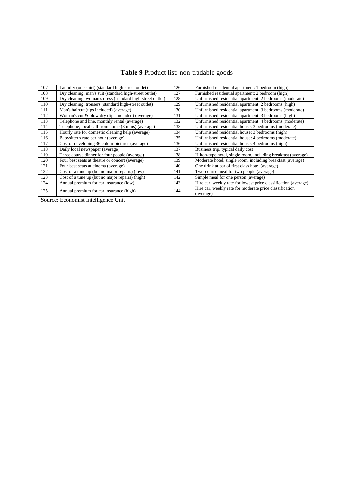# **Table 9** Product list: non-tradable goods

| 107 | Laundry (one shirt) (standard high-street outlet)         | 126 | Furnished residential apartment: 1 bedroom (high)                    |
|-----|-----------------------------------------------------------|-----|----------------------------------------------------------------------|
| 108 | Dry cleaning, man's suit (standard high-street outlet)    | 127 | Furnished residential apartment: 2 bedroom (high)                    |
| 109 | Dry cleaning, woman's dress (standard high-street outlet) | 128 | Unfurnished residential apartment: 2 bedrooms (moderate)             |
| 110 | Dry cleaning, trousers (standard high-street outlet)      | 129 | Unfurnished residential apartment: 2 bedrooms (high)                 |
| 111 | Man's haircut (tips included) (average)                   | 130 | Unfurnished residential apartment: 3 bedrooms (moderate)             |
| 112 | Woman's cut & blow dry (tips included) (average)          | 131 | Unfurnished residential apartment: 3 bedrooms (high)                 |
| 113 | Telephone and line, monthly rental (average)              | 132 | Unfurnished residential apartment: 4 bedrooms (moderate)             |
| 114 | Telephone, local call from home (3 mins) (average)        | 133 | Unfurnished residential house: 3 bedrooms (moderate)                 |
| 115 | Hourly rate for domestic cleaning help (average)          | 134 | Unfurnished residential house: 3 bedrooms (high)                     |
| 116 | Babysitter's rate per hour (average)                      | 135 | Unfurnished residential house: 4 bedrooms (moderate)                 |
| 117 | Cost of developing 36 colour pictures (average)           | 136 | Unfurnished residential house: 4 bedrooms (high)                     |
| 118 | Daily local newspaper (average)                           | 137 | Business trip, typical daily cost                                    |
| 119 | Three course dinner for four people (average)             | 138 | Hilton-type hotel, single room, including breakfast (average)        |
| 120 | Four best seats at the atre or concert (average)          | 139 | Moderate hotel, single room, including breakfast (average)           |
| 121 | Four best seats at cinema (average)                       | 140 | One drink at bar of first class hotel (average)                      |
| 122 | Cost of a tune up (but no major repairs) (low)            | 141 | Two-course meal for two people (average)                             |
| 123 | Cost of a tune up (but no major repairs) (high)           | 142 | Simple meal for one person (average)                                 |
| 124 | Annual premium for car insurance (low)                    | 143 | Hire car, weekly rate for lowest price classification (average)      |
| 125 | Annual premium for car insurance (high)                   | 144 | Hire car, weekly rate for moderate price classification<br>(average) |

Source: Economist Intelligence Unit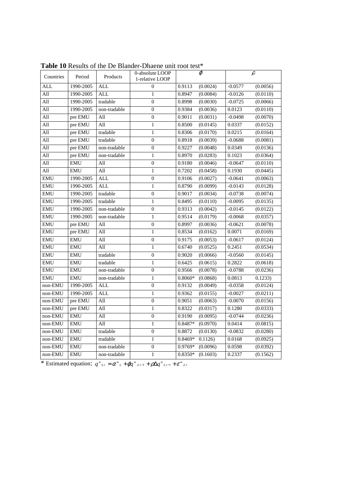| Countries  | Period     | Products         | 0-absolute LOOP<br>1-relative LOOP | $\varphi$             | $\rho$                |
|------------|------------|------------------|------------------------------------|-----------------------|-----------------------|
| <b>ALL</b> | 1990-2005  | <b>ALL</b>       | $\boldsymbol{0}$                   | 0.9113<br>(0.0024)    | $-0.0577$<br>(0.0056) |
| All        | 1990-2005  | <b>ALL</b>       | $\mathbf{1}$                       | 0.8947<br>(0.0084)    | $-0.0126$<br>(0.0110) |
| All        | 1990-2005  | tradable         | $\overline{0}$                     | 0.8998<br>(0.0030)    | $-0.0725$<br>(0.0066) |
| All        | 1990-2005  | non-tradable     | $\overline{0}$                     | 0.9384<br>(0.0036)    | 0.0123<br>(0.0110)    |
| All        | pre EMU    | All              | $\boldsymbol{0}$                   | 0.9011<br>(0.0031)    | $-0.0498$<br>(0.0070) |
| All        | pre EMU    | All              | $\mathbf{1}$                       | 0.8500<br>(0.0145)    | 0.0337<br>(0.0152)    |
| All        | pre EMU    | tradable         | $\mathbf{1}$                       | 0.8306<br>(0.0170)    | 0.0215<br>(0.0164)    |
| All        | pre EMU    | tradable         | $\boldsymbol{0}$                   | 0.8918<br>(0.0039)    | $-0.0688$<br>(0.0081) |
| All        | pre EMU    | non-tradable     | $\overline{0}$                     | 0.9227<br>(0.0048)    | 0.0349<br>(0.0136)    |
| All        | pre EMU    | non-tradable     | $\mathbf{1}$                       | 0.8970<br>(0.0283)    | 0.1023<br>(0.0364)    |
| All        | <b>EMU</b> | All              | $\overline{0}$                     | 0.9180<br>(0.0046)    | $-0.0647$<br>(0.0110) |
| All        | <b>EMU</b> | $\overline{All}$ | $\mathbf{1}$                       | 0.7202<br>(0.0458)    | 0.1930<br>(0.0445)    |
| <b>EMU</b> | 1990-2005  | <b>ALL</b>       | $\overline{0}$                     | 0.9106<br>(0.0027)    | $-0.0641$<br>(0.0063) |
| <b>EMU</b> | 1990-2005  | <b>ALL</b>       | $\mathbf{1}$                       | 0.8790<br>(0.0099)    | $-0.0143$<br>(0.0128) |
| <b>EMU</b> | 1990-2005  | tradable         | $\boldsymbol{0}$                   | 0.9017<br>(0.0034)    | $-0.0738$<br>(0.0074) |
| <b>EMU</b> | 1990-2005  | tradable         | $\mathbf{1}$                       | 0.8495<br>(0.0110)    | (0.0135)<br>$-0.0095$ |
| <b>EMU</b> | 1990-2005  | non-tradable     | $\overline{0}$                     | 0.9313<br>(0.0042)    | (0.0122)<br>$-0.0145$ |
| <b>EMU</b> | 1990-2005  | non-tradable     | $\mathbf{1}$                       | (0.0179)<br>0.9514    | $-0.0068$<br>(0.0357) |
| <b>EMU</b> | pre EMU    | All              | $\overline{0}$                     | 0.8997<br>(0.0036)    | $-0.0621$<br>(0.0078) |
| <b>EMU</b> | pre EMU    | All              | $\mathbf{1}$                       | 0.8534<br>(0.0162)    | 0.0071<br>(0.0169)    |
| <b>EMU</b> | <b>EMU</b> | All              | $\overline{0}$                     | 0.9175<br>(0.0053)    | (0.0124)<br>$-0.0617$ |
| <b>EMU</b> | <b>EMU</b> | All              | $\mathbf{1}$                       | 0.6740<br>(0.0525)    | 0.2451<br>(0.0534)    |
| <b>EMU</b> | <b>EMU</b> | tradable         | $\overline{0}$                     | 0.9020<br>(0.0066)    | $-0.0560$<br>(0.0145) |
| <b>EMU</b> | <b>EMU</b> | tradable         | 1                                  | 0.6425<br>(0.0615)    | (0.0618)<br>0.2822    |
| <b>EMU</b> | <b>EMU</b> | non-tradable     | $\mathbf{0}$                       | 0.9566<br>(0.0078)    | $-0.0788$<br>(0.0236) |
| <b>EMU</b> | <b>EMU</b> | non-tradable     | $\mathbf{1}$                       | $0.8060*$<br>(0.0868) | 0.0813<br>0.1233)     |
| non-EMU    | 1990-2005  | <b>ALL</b>       | $\boldsymbol{0}$                   | 0.9132<br>(0.0049)    | $-0.0358$<br>(0.0124) |
| non-EMU    | 1990-2005  | <b>ALL</b>       | 1                                  | 0.9362<br>(0.0155)    | $-0.0027$<br>(0.0211) |
| non-EMU    | pre EMU    | All              | $\overline{0}$                     | 0.9051<br>(0.0063)    | $-0.0070$<br>(0.0156) |
| non-EMU    | pre EMU    | All              | $\mathbf{1}$                       | 0.8322<br>(0.0317)    | 0.1280<br>(0.0333)    |
| non-EMU    | <b>EMU</b> | $\overline{All}$ | $\overline{0}$                     | 0.9190<br>(0.0095)    | $-0.0744$<br>(0.0236) |
| non-EMU    | <b>EMU</b> | All              | $\mathbf{1}$                       | 0.8487*<br>(0.0970)   | 0.0414<br>(0.0815)    |
| non-EMU    | <b>EMU</b> | tradable         | $\boldsymbol{0}$                   | 0.8872<br>(0.0130)    | $-0.0832$<br>(0.0280) |
| non-EMU    | <b>EMU</b> | tradable         | $\mathbf{1}$                       | $0.8469*$<br>0.1126   | 0.0168<br>(0.0925)    |
| non-EMU    | <b>EMU</b> | non-tradable     | $\overline{0}$                     | 0.9769*<br>(0.0096)   | 0.0598<br>(0.0392)    |
| non-EMU    | <b>EMU</b> | non-tradable     | 1                                  | $0.8350*$<br>(0.1603) | 0.2337<br>(0.1562)    |

**Table 10** Results of the De Blander-Dhaene unit root test\*

\* Estimated equation:  $q^{m}{}_{ij,t} = \alpha^{m}{}_{ij} + \varphi q^{m}{}_{ji,t-1} + \rho \Delta q^{m}{}_{ij,t-1} + \varepsilon^{m}{}_{ji,t}$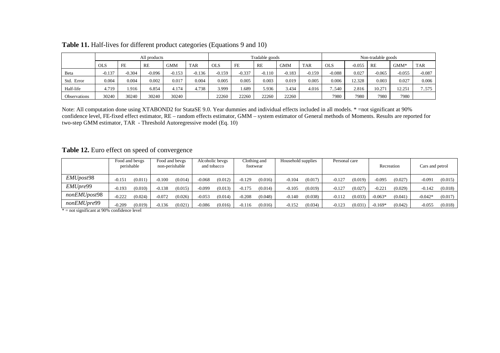|               | All products |          |          |          |            | Tradable goods |          |          |            | Non-tradable goods |            |          |          |          |            |
|---------------|--------------|----------|----------|----------|------------|----------------|----------|----------|------------|--------------------|------------|----------|----------|----------|------------|
|               | <b>OLS</b>   | FE       | RE       | GMM      | <b>TAR</b> | <b>OLS</b>     | FE       | RE       | <b>GMM</b> | <b>TAR</b>         | <b>OLS</b> | $-0.055$ | RE       | $GMM*$   | <b>TAR</b> |
| Beta          | $-0.137$     | $-0.304$ | $-0.096$ | $-0.153$ | $-0.136$   | $-0.159$       | $-0.337$ | $-0.110$ | $-0.183$   | $-0.159$           | $-0.088$   | 0.027    | $-0.065$ | $-0.055$ | $-0.087$   |
| Error<br>Std. | 0.004        | 0.004    | 0.002    | 0.017    | 0.004      | 0.005          | 0.005    | 0.003    | 0.019      | 0.005              | 0.006      | 12.328   | 0.003    | 0.027    | 0.006      |
| Half-life     | 4.719        | .916     | 6.854    | 4.174    | 4.738      | 3.999          | . 689    | 5.936    | 3.434      | 4.016              | 7540       | 2.816    | 10.271   | 12.251   | .575       |
| Observations  | 30240        | 30240    | 30240    | 30240    |            | 22260          | 22260    | 22260    | 22260      |                    | 7980       | 7980     | 7980     | 7980     |            |

# **Table 11.** Half-lives for different product categories (Equations 9 and 10)

Note: All computation done using XTABOND2 for StataSE 9.0. Year dummies and individual effects included in all models. \* =not significant at 90% confidence level, FE-fixed effect estimator, RE – random effects estimator, GMM – system estimator of General methods of Moments. Results are reported for two-step GMM estimator, TAR - Threshold Autoregressive model (Eq. 10)

**Table 12.** Euro effect on speed of convergence

|                   | Food and bevgs<br>perishable |         | Food and bevgs<br>non-perishable |         | Alcoholic bevgs<br>and tobacco |         | Clothing and<br>footwear |         | Household supplies |         | Personal care |         | Recreation |         | Cars and petrol |         |
|-------------------|------------------------------|---------|----------------------------------|---------|--------------------------------|---------|--------------------------|---------|--------------------|---------|---------------|---------|------------|---------|-----------------|---------|
| <i>EMUpost</i> 98 | $-0.151$                     | (0.011) | $-0.100$                         | (0.014) | $-0.068$                       | (0.012) | $-0.129$                 | (0.016) | $-0.104$           | (0.017) | $-0.127$      | (0.019) | $-0.095$   | (0.027) | $-0.091$        | (0.015) |
| EMUpre99          | $-0.193$                     | (0.010) | $-0.138$                         | (0.015) | $-0.099$                       | (0.013) | -0.175                   | (0.014) | $-0.105$           | (0.019) | $-0.127$      | (0.027) | 0.221      | (0.029) | $-0.142$        | (0.018) |
| nonEMUpost98      | $-0.222$                     | (0.024) | $-0.072$                         | (0.026) | $-0.053$                       | (0.014) | $-0.208$                 | (0.048) | $-0.140$           | (0.038) | $-0.112$      | (0.033) | $-0.063*$  | (0.041) | $-0.042*$       | (0.017) |
| nonEMUpre99       | $-0.209$                     | (0.019) | $-0.136$                         | (0.021) | $-0.086$                       | (0.016) | $-0.116$                 | (0.016) | $-0.152$           | (0.034) | $-0.123$      | (0.031) | $-0.169*$  | (0.042) | $-0.055$        | (0.018) |

 $* =$  not significant at 90% confidence level